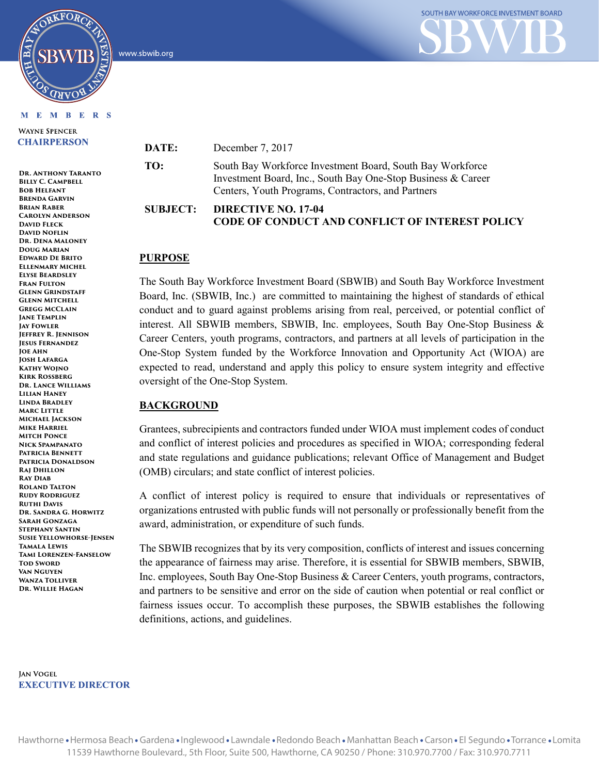

#### **MEMBERS**

ORKFORC

**WAYNE SPENCER CHAIRPERSON** 

**Dr. Anthony Taranto BILLY C. CAMPBELL Bob Helfant Brenda Garvin Brian Raber Carolyn Anderson David Fleck David Noflin Dr. Dena Maloney Doug Marian Edward De Brito Ellenmary Michel Elyse Beardsley Fran Fulton Glenn Grindstaff Glenn Mitchell Gregg McClain Jane Templin Jay Fowler Jeffrey R. Jennison Jesus Fernandez Joe Ahn Josh Lafarga Kathy Wojno Kirk Rossberg Dr. Lance Williams Lilian Haney Linda Bradley Marc Little Michael Jackson Mike Harriel Mitch Ponce Nick Spampanato Patricia Bennett Patricia Donaldson Raj Dhillon Ray Diab Roland Talton Rudy Rodriguez Ruthi Davis Dr. Sandra G. Horwitz Sarah Gonzaga Stephany Santin Susie Yellowhorse-Jensen Tamala Lewis Tami Lorenzen-Fanselow TOD SWORD Van Nguyen Wanza Tolliver Dr. Willie Hagan**

**JAN VOGEL EXECUTIVE DIRECTOR** 



**DATE:** December 7, 2017

**TO:** South Bay Workforce Investment Board, South Bay Workforce Investment Board, Inc., South Bay One-Stop Business & Career Centers, Youth Programs, Contractors, and Partners

# **SUBJECT: DIRECTIVE NO. 17-04 CODE OF CONDUCT AND CONFLICT OF INTEREST POLICY**

## **PURPOSE**

The South Bay Workforce Investment Board (SBWIB) and South Bay Workforce Investment Board, Inc. (SBWIB, Inc.) are committed to maintaining the highest of standards of ethical conduct and to guard against problems arising from real, perceived, or potential conflict of interest. All SBWIB members, SBWIB, Inc. employees, South Bay One-Stop Business & Career Centers, youth programs, contractors, and partners at all levels of participation in the One-Stop System funded by the Workforce Innovation and Opportunity Act (WIOA) are expected to read, understand and apply this policy to ensure system integrity and effective oversight of the One-Stop System.

## **BACKGROUND**

Grantees, subrecipients and contractors funded under WIOA must implement codes of conduct and conflict of interest policies and procedures as specified in WIOA; corresponding federal and state regulations and guidance publications; relevant Office of Management and Budget (OMB) circulars; and state conflict of interest policies.

A conflict of interest policy is required to ensure that individuals or representatives of organizations entrusted with public funds will not personally or professionally benefit from the award, administration, or expenditure of such funds.

The SBWIB recognizes that by its very composition, conflicts of interest and issues concerning the appearance of fairness may arise. Therefore, it is essential for SBWIB members, SBWIB, Inc. employees, South Bay One-Stop Business & Career Centers, youth programs, contractors, and partners to be sensitive and error on the side of caution when potential or real conflict or fairness issues occur. To accomplish these purposes, the SBWIB establishes the following definitions, actions, and guidelines.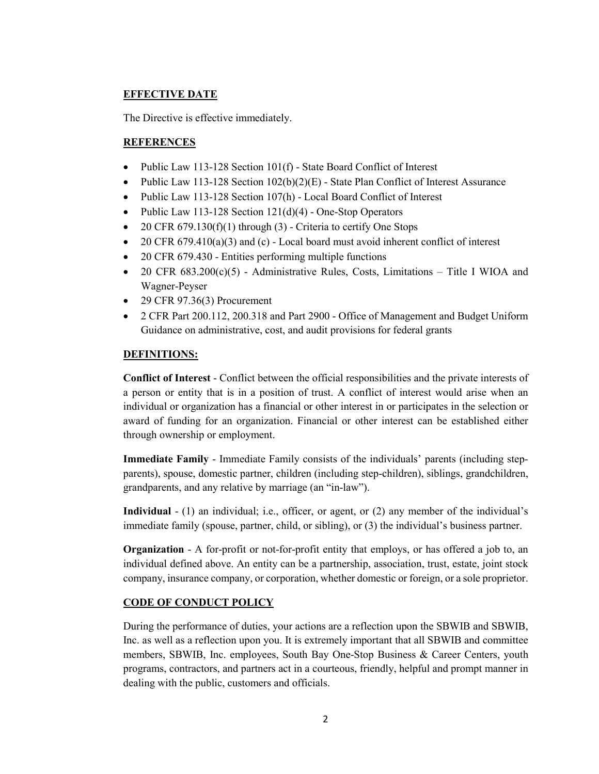# **EFFECTIVE DATE**

The Directive is effective immediately.

# **REFERENCES**

- Public Law 113-128 Section 101(f) State Board Conflict of Interest
- Public Law 113-128 Section  $102(b)(2)(E)$  State Plan Conflict of Interest Assurance
- Public Law 113-128 Section 107(h) Local Board Conflict of Interest
- Public Law 113-128 Section 121(d)(4) One-Stop Operators
- 20 CFR  $679.130(f)(1)$  through  $(3)$  Criteria to certify One Stops
- 20 CFR 679.410(a)(3) and (c) Local board must avoid inherent conflict of interest
- 20 CFR 679.430 Entities performing multiple functions
- 20 CFR  $683.200(c)(5)$  Administrative Rules, Costs, Limitations Title I WIOA and Wagner-Peyser
- 29 CFR 97.36(3) Procurement
- 2 CFR Part 200.112, 200.318 and Part 2900 Office of Management and Budget Uniform Guidance on administrative, cost, and audit provisions for federal grants

# **DEFINITIONS:**

**Conflict of Interest** - Conflict between the official responsibilities and the private interests of a person or entity that is in a position of trust. A conflict of interest would arise when an individual or organization has a financial or other interest in or participates in the selection or award of funding for an organization. Financial or other interest can be established either through ownership or employment.

**Immediate Family** - Immediate Family consists of the individuals' parents (including stepparents), spouse, domestic partner, children (including step-children), siblings, grandchildren, grandparents, and any relative by marriage (an "in-law").

**Individual** - (1) an individual; i.e., officer, or agent, or (2) any member of the individual's immediate family (spouse, partner, child, or sibling), or (3) the individual's business partner.

**Organization** - A for-profit or not-for-profit entity that employs, or has offered a job to, an individual defined above. An entity can be a partnership, association, trust, estate, joint stock company, insurance company, or corporation, whether domestic or foreign, or a sole proprietor.

# **CODE OF CONDUCT POLICY**

During the performance of duties, your actions are a reflection upon the SBWIB and SBWIB, Inc. as well as a reflection upon you. It is extremely important that all SBWIB and committee members, SBWIB, Inc. employees, South Bay One-Stop Business & Career Centers, youth programs, contractors, and partners act in a courteous, friendly, helpful and prompt manner in dealing with the public, customers and officials.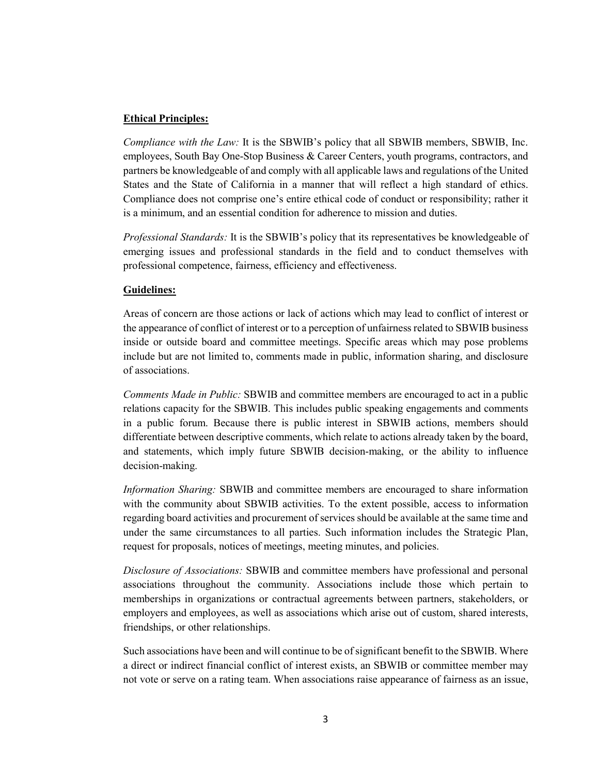## **Ethical Principles:**

*Compliance with the Law:* It is the SBWIB's policy that all SBWIB members, SBWIB, Inc. employees, South Bay One-Stop Business & Career Centers, youth programs, contractors, and partners be knowledgeable of and comply with all applicable laws and regulations of the United States and the State of California in a manner that will reflect a high standard of ethics. Compliance does not comprise one's entire ethical code of conduct or responsibility; rather it is a minimum, and an essential condition for adherence to mission and duties.

*Professional Standards:* It is the SBWIB's policy that its representatives be knowledgeable of emerging issues and professional standards in the field and to conduct themselves with professional competence, fairness, efficiency and effectiveness.

## **Guidelines:**

Areas of concern are those actions or lack of actions which may lead to conflict of interest or the appearance of conflict of interest or to a perception of unfairness related to SBWIB business inside or outside board and committee meetings. Specific areas which may pose problems include but are not limited to, comments made in public, information sharing, and disclosure of associations.

*Comments Made in Public:* SBWIB and committee members are encouraged to act in a public relations capacity for the SBWIB. This includes public speaking engagements and comments in a public forum. Because there is public interest in SBWIB actions, members should differentiate between descriptive comments, which relate to actions already taken by the board, and statements, which imply future SBWIB decision-making, or the ability to influence decision-making.

*Information Sharing:* SBWIB and committee members are encouraged to share information with the community about SBWIB activities. To the extent possible, access to information regarding board activities and procurement of services should be available at the same time and under the same circumstances to all parties. Such information includes the Strategic Plan, request for proposals, notices of meetings, meeting minutes, and policies.

*Disclosure of Associations:* SBWIB and committee members have professional and personal associations throughout the community. Associations include those which pertain to memberships in organizations or contractual agreements between partners, stakeholders, or employers and employees, as well as associations which arise out of custom, shared interests, friendships, or other relationships.

Such associations have been and will continue to be of significant benefit to the SBWIB. Where a direct or indirect financial conflict of interest exists, an SBWIB or committee member may not vote or serve on a rating team. When associations raise appearance of fairness as an issue,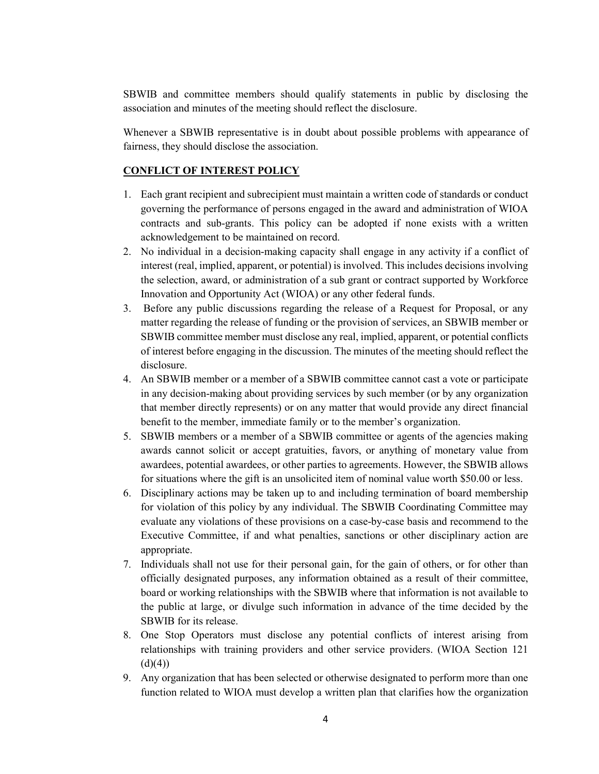SBWIB and committee members should qualify statements in public by disclosing the association and minutes of the meeting should reflect the disclosure.

Whenever a SBWIB representative is in doubt about possible problems with appearance of fairness, they should disclose the association.

# **CONFLICT OF INTEREST POLICY**

- 1. Each grant recipient and subrecipient must maintain a written code of standards or conduct governing the performance of persons engaged in the award and administration of WIOA contracts and sub-grants. This policy can be adopted if none exists with a written acknowledgement to be maintained on record.
- 2. No individual in a decision-making capacity shall engage in any activity if a conflict of interest (real, implied, apparent, or potential) is involved. This includes decisions involving the selection, award, or administration of a sub grant or contract supported by Workforce Innovation and Opportunity Act (WIOA) or any other federal funds.
- 3. Before any public discussions regarding the release of a Request for Proposal, or any matter regarding the release of funding or the provision of services, an SBWIB member or SBWIB committee member must disclose any real, implied, apparent, or potential conflicts of interest before engaging in the discussion. The minutes of the meeting should reflect the disclosure.
- 4. An SBWIB member or a member of a SBWIB committee cannot cast a vote or participate in any decision-making about providing services by such member (or by any organization that member directly represents) or on any matter that would provide any direct financial benefit to the member, immediate family or to the member's organization.
- 5. SBWIB members or a member of a SBWIB committee or agents of the agencies making awards cannot solicit or accept gratuities, favors, or anything of monetary value from awardees, potential awardees, or other parties to agreements. However, the SBWIB allows for situations where the gift is an unsolicited item of nominal value worth \$50.00 or less.
- 6. Disciplinary actions may be taken up to and including termination of board membership for violation of this policy by any individual. The SBWIB Coordinating Committee may evaluate any violations of these provisions on a case-by-case basis and recommend to the Executive Committee, if and what penalties, sanctions or other disciplinary action are appropriate.
- 7. Individuals shall not use for their personal gain, for the gain of others, or for other than officially designated purposes, any information obtained as a result of their committee, board or working relationships with the SBWIB where that information is not available to the public at large, or divulge such information in advance of the time decided by the SBWIB for its release.
- 8. One Stop Operators must disclose any potential conflicts of interest arising from relationships with training providers and other service providers. (WIOA Section 121  $(d)(4))$
- 9. Any organization that has been selected or otherwise designated to perform more than one function related to WIOA must develop a written plan that clarifies how the organization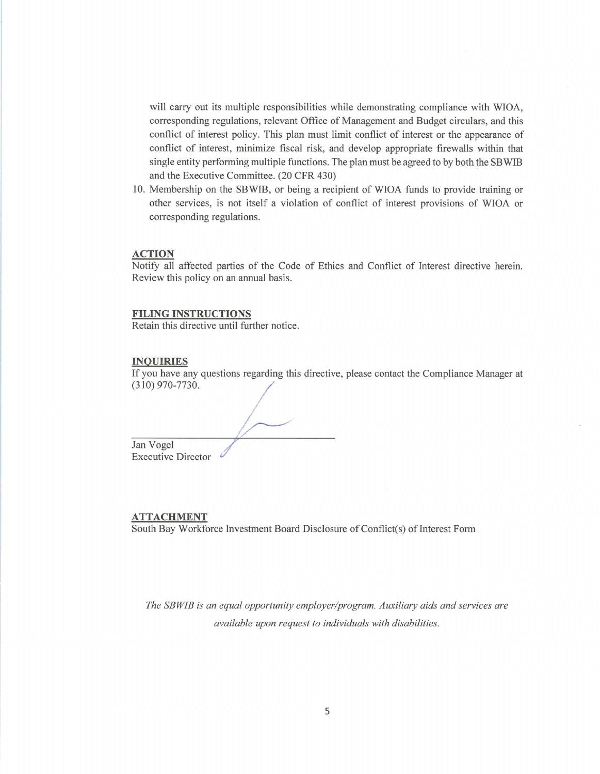will carry out its multiple responsibilities while demonstrating compliance with WIOA. corresponding regulations, relevant Office of Management and Budget circulars, and this conflict of interest policy. This plan must limit conflict of interest or the appearance of conflict of interest, minimize fiscal risk, and develop appropriate firewalls within that single entity performing multiple functions. The plan must be agreed to by both the SBWIB and the Executive Committee. (20 CFR 430)

10. Membership on the SBWIB, or being a recipient of WIOA funds to provide training or other services, is not itself a violation of conflict of interest provisions of WIOA or corresponding regulations.

#### **ACTION**

Notify all affected parties of the Code of Ethics and Conflict of Interest directive herein. Review this policy on an annual basis.

### **FILING INSTRUCTIONS**

Retain this directive until further notice.

#### **INQUIRIES**

If you have any questions regarding this directive, please contact the Compliance Manager at  $(310)$  970-7730.

Jan Vogel **Executive Director** 

#### **ATTACHMENT**

South Bay Workforce Investment Board Disclosure of Conflict(s) of Interest Form

The SBWIB is an equal opportunity employer/program. Auxiliary aids and services are available upon request to individuals with disabilities.